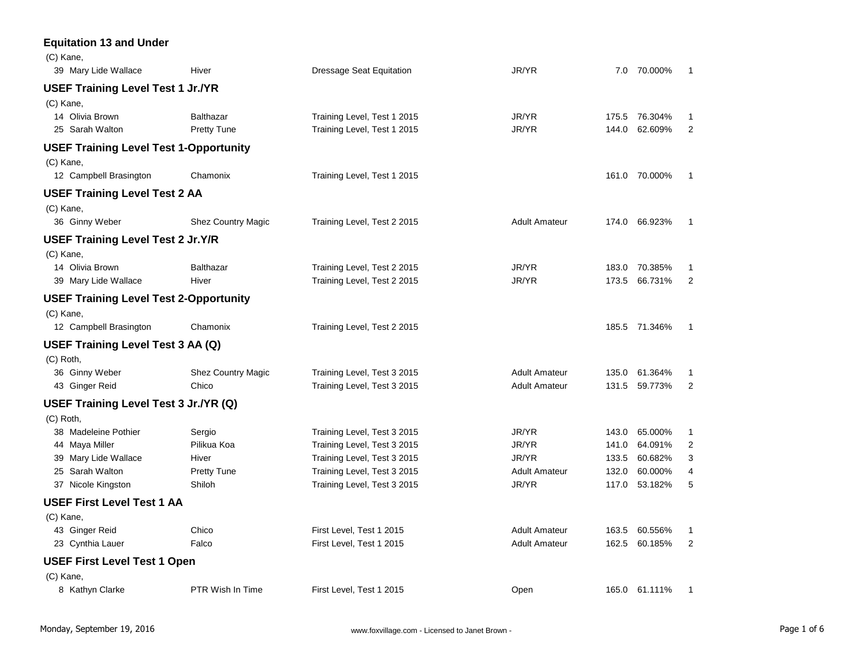| <b>Equitation 13 and Under</b>                |                           |                                 |                      |       |               |                |
|-----------------------------------------------|---------------------------|---------------------------------|----------------------|-------|---------------|----------------|
| (C) Kane,                                     |                           |                                 |                      |       |               |                |
| 39 Mary Lide Wallace                          | Hiver                     | <b>Dressage Seat Equitation</b> | JR/YR                |       | 7.0 70.000%   | $\mathbf{1}$   |
| USEF Training Level Test 1 Jr./YR             |                           |                                 |                      |       |               |                |
| (C) Kane,                                     |                           |                                 |                      |       |               |                |
| 14 Olivia Brown                               | <b>Balthazar</b>          | Training Level, Test 1 2015     | JR/YR                |       | 175.5 76.304% | 1              |
| 25 Sarah Walton                               | <b>Pretty Tune</b>        | Training Level, Test 1 2015     | JR/YR                |       | 144.0 62.609% | $\overline{2}$ |
| <b>USEF Training Level Test 1-Opportunity</b> |                           |                                 |                      |       |               |                |
| (C) Kane,                                     |                           |                                 |                      |       |               |                |
| 12 Campbell Brasington                        | Chamonix                  | Training Level, Test 1 2015     |                      |       | 161.0 70.000% | $\mathbf{1}$   |
| <b>USEF Training Level Test 2 AA</b>          |                           |                                 |                      |       |               |                |
| (C) Kane,                                     |                           |                                 |                      |       |               |                |
| 36 Ginny Weber                                | <b>Shez Country Magic</b> | Training Level, Test 2 2015     | <b>Adult Amateur</b> |       | 174.0 66.923% | $\mathbf{1}$   |
| <b>USEF Training Level Test 2 Jr.Y/R</b>      |                           |                                 |                      |       |               |                |
| (C) Kane,                                     |                           |                                 |                      |       |               |                |
| 14 Olivia Brown                               | <b>Balthazar</b>          | Training Level, Test 2 2015     | JR/YR                |       | 183.0 70.385% | $\mathbf{1}$   |
| 39 Mary Lide Wallace                          | Hiver                     | Training Level, Test 2 2015     | JR/YR                |       | 173.5 66.731% | $\overline{2}$ |
| USEF Training Level Test 2-Opportunity        |                           |                                 |                      |       |               |                |
| (C) Kane,                                     |                           |                                 |                      |       |               |                |
| 12 Campbell Brasington                        | Chamonix                  | Training Level, Test 2 2015     |                      |       | 185.5 71.346% | $\mathbf{1}$   |
| USEF Training Level Test 3 AA (Q)             |                           |                                 |                      |       |               |                |
| $(C)$ Roth,                                   |                           |                                 |                      |       |               |                |
| 36 Ginny Weber                                | <b>Shez Country Magic</b> | Training Level, Test 3 2015     | <b>Adult Amateur</b> |       | 135.0 61.364% | $\mathbf{1}$   |
| 43 Ginger Reid                                | Chico                     | Training Level, Test 3 2015     | <b>Adult Amateur</b> |       | 131.5 59.773% | $\overline{2}$ |
| USEF Training Level Test 3 Jr./YR (Q)         |                           |                                 |                      |       |               |                |
| (C) Roth,                                     |                           |                                 |                      |       |               |                |
| 38 Madeleine Pothier                          | Sergio                    | Training Level, Test 3 2015     | JR/YR                | 143.0 | 65.000%       | 1              |
| 44 Maya Miller                                | Pilikua Koa               | Training Level, Test 3 2015     | JR/YR                | 141.0 | 64.091%       | 2              |
| 39 Mary Lide Wallace                          | Hiver                     | Training Level, Test 3 2015     | JR/YR                | 133.5 | 60.682%       | 3              |
| 25 Sarah Walton                               | <b>Pretty Tune</b>        | Training Level, Test 3 2015     | <b>Adult Amateur</b> | 132.0 | 60.000%       | 4              |
| 37 Nicole Kingston                            | Shiloh                    | Training Level, Test 3 2015     | JR/YR                |       | 117.0 53.182% | 5              |
| USEF First Level Test 1 AA                    |                           |                                 |                      |       |               |                |
| (C) Kane,                                     |                           |                                 |                      |       |               |                |
| 43 Ginger Reid                                | Chico                     | First Level, Test 1 2015        | <b>Adult Amateur</b> | 163.5 | 60.556%       | 1              |
| 23 Cynthia Lauer                              | Falco                     | First Level, Test 1 2015        | <b>Adult Amateur</b> | 162.5 | 60.185%       | $\overline{2}$ |
| <b>USEF First Level Test 1 Open</b>           |                           |                                 |                      |       |               |                |
| (C) Kane,                                     |                           |                                 |                      |       |               |                |
| 8 Kathyn Clarke                               | PTR Wish In Time          | First Level, Test 1 2015        | Open                 |       | 165.0 61.111% | $\mathbf{1}$   |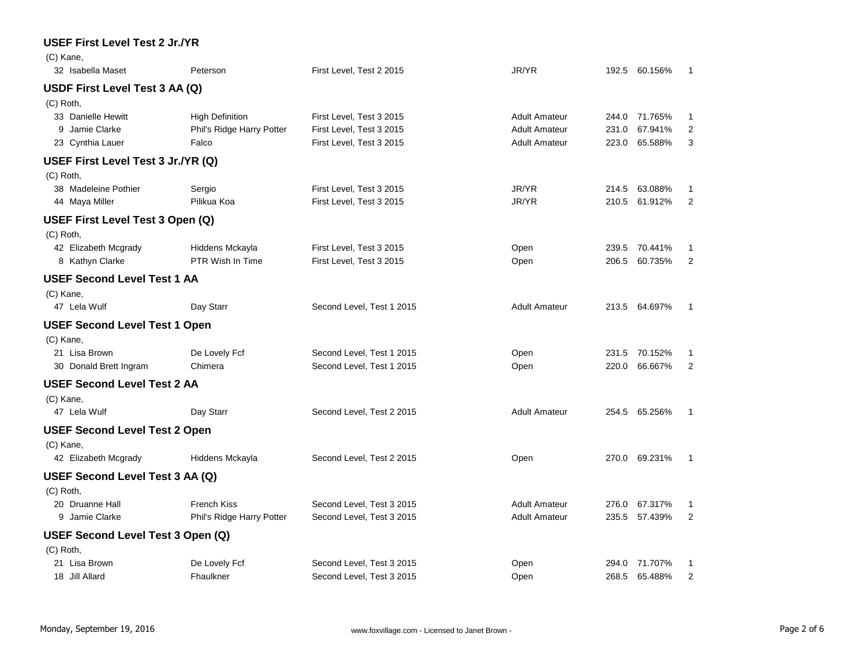## **USEF First Level Test 2 Jr./YR** (C) Kane, 32 Isabella Maset Peterson First Level, Test 2 2015 JR/YR 192.5 60.156% 1 **USDF First Level Test 3 AA (Q)** (C) Roth, 33 Danielle Hewitt **High Definition** First Level, Test 3 2015 **Adult Amateur** 244.0 71.765% 1 9 Jamie Clarke **Phil's Ridge Harry Potter** First Level, Test 3 2015 Adult Amateur 231.0 67.941% 2 23 Cynthia Lauer **Falco** Falco First Level, Test 3 2015 **Adult Amateur** 223.0 65.588% 3 **USEF First Level Test 3 Jr./YR (Q)** (C) Roth, 38 Madeleine Pothier Sergio First Level, Test 3 2015 JR/YR 214.5 63.088% 1 44 Maya Miller Pilikua Koa First Level, Test 3 2015 JR/YR 210.5 61.912% 2 **USEF First Level Test 3 Open (Q)** (C) Roth, 42 Elizabeth Mcgrady **Hiddens Mckayla** First Level, Test 3 2015 **Den** Open 239.5 70.441% 1 8 Kathyn Clarke **PTR Wish In Time** First Level, Test 3 2015 **Product Act Act Act Act 206.5 60.735%** 2 **USEF Second Level Test 1 AA** (C) Kane, 47 Lela Wulf **Day Starr** Charles Correct Cered, Test 1 2015 **Adult Amateur** 213.5 64.697% 1 **USEF Second Level Test 1 Open** (C) Kane, 21 Lisa Brown **De Lovely Fcf** Second Level, Test 1 2015 **Open** 231.5 70.152% 1 30 Donald Brett Ingram Chimera Second Level, Test 1 2015 Open 220.0 66.667% 2 **USEF Second Level Test 2 AA** (C) Kane, 47 Lela Wulf **Day Starr** Charles Cond Level, Test 2 2015 Adult Amateur 254.5 65.256% 1 **USEF Second Level Test 2 Open** (C) Kane, 42 Elizabeth Mcgrady Hiddens Mckayla Second Level, Test 2 2015 Open 270.0 69.231% 1 **USEF Second Level Test 3 AA (Q)** (C) Roth, 20 Druanne Hall **French Kiss** Second Level, Test 3 2015 Adult Amateur 276.0 67.317% 1 9 Jamie Clarke **Phil's Ridge Harry Potter** Second Level, Test 3 2015 Adult Amateur 235.5 57.439% 2 **USEF Second Level Test 3 Open (Q)** (C) Roth, 21 Lisa Brown 294.0 71.707% De Lovely Fcf Second Level, Test 3 2015 Copen 294.0 71.707% 1 18 Jill Allard Fhaulkner Second Level, Test 3 2015 Open 268.5 65.488% 2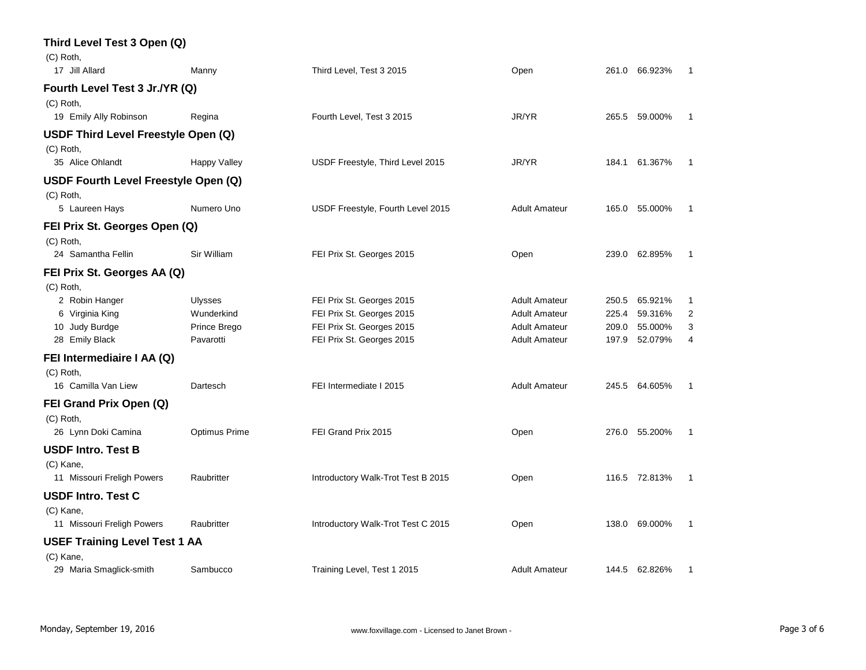| Third Level Test 3 Open (Q)          |                     |                                    |                      |       |               |              |
|--------------------------------------|---------------------|------------------------------------|----------------------|-------|---------------|--------------|
| (C) Roth,                            |                     |                                    |                      |       |               |              |
| 17 Jill Allard                       | Manny               | Third Level, Test 3 2015           | Open                 | 261.0 | 66.923%       | 1            |
| Fourth Level Test 3 Jr./YR (Q)       |                     |                                    |                      |       |               |              |
| (C) Roth,                            |                     |                                    |                      |       |               |              |
| 19 Emily Ally Robinson               | Regina              | Fourth Level, Test 3 2015          | JR/YR                | 265.5 | 59.000%       | 1            |
| USDF Third Level Freestyle Open (Q)  |                     |                                    |                      |       |               |              |
| (C) Roth,                            |                     |                                    |                      |       |               |              |
| 35 Alice Ohlandt                     | <b>Happy Valley</b> | USDF Freestyle, Third Level 2015   | JR/YR                | 184.1 | 61.367%       | 1            |
| USDF Fourth Level Freestyle Open (Q) |                     |                                    |                      |       |               |              |
| (C) Roth,                            |                     |                                    |                      |       |               |              |
| 5 Laureen Hays                       | Numero Uno          | USDF Freestyle, Fourth Level 2015  | <b>Adult Amateur</b> |       | 165.0 55.000% | 1            |
| FEI Prix St. Georges Open (Q)        |                     |                                    |                      |       |               |              |
| (C) Roth,                            |                     |                                    |                      |       |               |              |
| 24 Samantha Fellin                   | Sir William         | FEI Prix St. Georges 2015          | Open                 |       | 239.0 62.895% | $\mathbf{1}$ |
| FEI Prix St. Georges AA (Q)          |                     |                                    |                      |       |               |              |
| (C) Roth,                            |                     |                                    |                      |       |               |              |
| 2 Robin Hanger                       | Ulysses             | FEI Prix St. Georges 2015          | <b>Adult Amateur</b> | 250.5 | 65.921%       | $\mathbf{1}$ |
| 6 Virginia King                      | Wunderkind          | FEI Prix St. Georges 2015          | <b>Adult Amateur</b> | 225.4 | 59.316%       | 2            |
| 10 Judy Burdge                       | Prince Brego        | FEI Prix St. Georges 2015          | <b>Adult Amateur</b> | 209.0 | 55.000%       | 3            |
| 28 Emily Black                       | Pavarotti           | FEI Prix St. Georges 2015          | <b>Adult Amateur</b> | 197.9 | 52.079%       | 4            |
| FEI Intermediaire I AA (Q)           |                     |                                    |                      |       |               |              |
| (C) Roth,                            |                     |                                    |                      |       |               |              |
| 16 Camilla Van Liew                  | Dartesch            | FEI Intermediate I 2015            | <b>Adult Amateur</b> |       | 245.5 64.605% | $\mathbf{1}$ |
| FEI Grand Prix Open (Q)              |                     |                                    |                      |       |               |              |
| (C) Roth,                            |                     |                                    |                      |       |               |              |
| 26 Lynn Doki Camina                  | Optimus Prime       | FEI Grand Prix 2015                | Open                 |       | 276.0 55.200% | $\mathbf{1}$ |
| USDF Intro. Test B                   |                     |                                    |                      |       |               |              |
| (C) Kane,                            |                     |                                    |                      |       |               |              |
| 11 Missouri Freligh Powers           | Raubritter          | Introductory Walk-Trot Test B 2015 | Open                 |       | 116.5 72.813% | 1            |
| <b>USDF Intro. Test C</b>            |                     |                                    |                      |       |               |              |
| (C) Kane,                            |                     |                                    |                      |       |               |              |
| 11 Missouri Freligh Powers           | Raubritter          | Introductory Walk-Trot Test C 2015 | Open                 |       | 138.0 69.000% | 1            |
| <b>USEF Training Level Test 1 AA</b> |                     |                                    |                      |       |               |              |
| (C) Kane,                            |                     |                                    |                      |       |               |              |
| 29 Maria Smaglick-smith              | Sambucco            | Training Level, Test 1 2015        | <b>Adult Amateur</b> |       | 144.5 62.826% | 1            |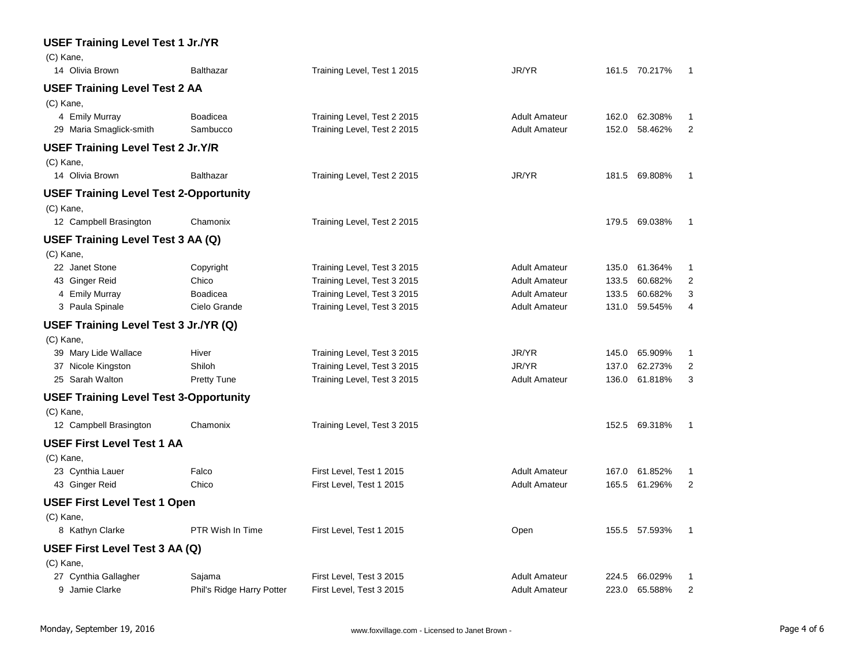| <b>USEF Training Level Test 1 Jr./YR</b>      |                           |                             |                      |       |               |                |
|-----------------------------------------------|---------------------------|-----------------------------|----------------------|-------|---------------|----------------|
| (C) Kane,                                     |                           |                             |                      |       |               |                |
| 14 Olivia Brown                               | <b>Balthazar</b>          | Training Level, Test 1 2015 | JR/YR                |       | 161.5 70.217% | -1             |
| <b>USEF Training Level Test 2 AA</b>          |                           |                             |                      |       |               |                |
| (C) Kane,                                     |                           |                             |                      |       |               |                |
| 4 Emily Murray                                | <b>Boadicea</b>           | Training Level, Test 2 2015 | <b>Adult Amateur</b> | 162.0 | 62.308%       | 1              |
| 29 Maria Smaglick-smith                       | Sambucco                  | Training Level, Test 2 2015 | <b>Adult Amateur</b> | 152.0 | 58.462%       | $\overline{2}$ |
| <b>USEF Training Level Test 2 Jr.Y/R</b>      |                           |                             |                      |       |               |                |
| (C) Kane,                                     |                           |                             |                      |       |               |                |
| 14 Olivia Brown                               | <b>Balthazar</b>          | Training Level, Test 2 2015 | JR/YR                |       | 181.5 69.808% | 1              |
| <b>USEF Training Level Test 2-Opportunity</b> |                           |                             |                      |       |               |                |
| (C) Kane,                                     |                           |                             |                      |       |               |                |
| 12 Campbell Brasington                        | Chamonix                  | Training Level, Test 2 2015 |                      |       | 179.5 69.038% | 1              |
| USEF Training Level Test 3 AA (Q)             |                           |                             |                      |       |               |                |
| (C) Kane,                                     |                           |                             |                      |       |               |                |
| 22 Janet Stone                                | Copyright                 | Training Level, Test 3 2015 | <b>Adult Amateur</b> | 135.0 | 61.364%       | 1              |
| 43 Ginger Reid                                | Chico                     | Training Level, Test 3 2015 | <b>Adult Amateur</b> | 133.5 | 60.682%       | 2              |
| 4 Emily Murray                                | <b>Boadicea</b>           | Training Level, Test 3 2015 | <b>Adult Amateur</b> | 133.5 | 60.682%       | 3              |
| 3 Paula Spinale                               | Cielo Grande              | Training Level, Test 3 2015 | <b>Adult Amateur</b> | 131.0 | 59.545%       | 4              |
| USEF Training Level Test 3 Jr./YR (Q)         |                           |                             |                      |       |               |                |
| (C) Kane,                                     |                           |                             |                      |       |               |                |
| 39 Mary Lide Wallace                          | Hiver                     | Training Level, Test 3 2015 | JR/YR                | 145.0 | 65.909%       | 1              |
| 37 Nicole Kingston                            | Shiloh                    | Training Level, Test 3 2015 | JR/YR                | 137.0 | 62.273%       | $\overline{2}$ |
| 25 Sarah Walton                               | <b>Pretty Tune</b>        | Training Level, Test 3 2015 | <b>Adult Amateur</b> | 136.0 | 61.818%       | 3              |
| <b>USEF Training Level Test 3-Opportunity</b> |                           |                             |                      |       |               |                |
| (C) Kane,                                     |                           |                             |                      |       |               |                |
| 12 Campbell Brasington                        | Chamonix                  | Training Level, Test 3 2015 |                      |       | 152.5 69.318% | 1              |
| <b>USEF First Level Test 1 AA</b>             |                           |                             |                      |       |               |                |
| (C) Kane,                                     |                           |                             |                      |       |               |                |
| 23 Cynthia Lauer                              | Falco                     | First Level, Test 1 2015    | <b>Adult Amateur</b> | 167.0 | 61.852%       | 1              |
| 43 Ginger Reid                                | Chico                     | First Level, Test 1 2015    | <b>Adult Amateur</b> | 165.5 | 61.296%       | $\overline{2}$ |
| <b>USEF First Level Test 1 Open</b>           |                           |                             |                      |       |               |                |
| (C) Kane,                                     |                           |                             |                      |       |               |                |
| 8 Kathyn Clarke                               | PTR Wish In Time          | First Level, Test 1 2015    | Open                 |       | 155.5 57.593% | 1              |
| USEF First Level Test 3 AA (Q)                |                           |                             |                      |       |               |                |
| (C) Kane,                                     |                           |                             |                      |       |               |                |
| 27 Cynthia Gallagher                          | Sajama                    | First Level, Test 3 2015    | <b>Adult Amateur</b> | 224.5 | 66.029%       | 1              |
| 9 Jamie Clarke                                | Phil's Ridge Harry Potter | First Level, Test 3 2015    | <b>Adult Amateur</b> | 223.0 | 65.588%       | $\overline{2}$ |
|                                               |                           |                             |                      |       |               |                |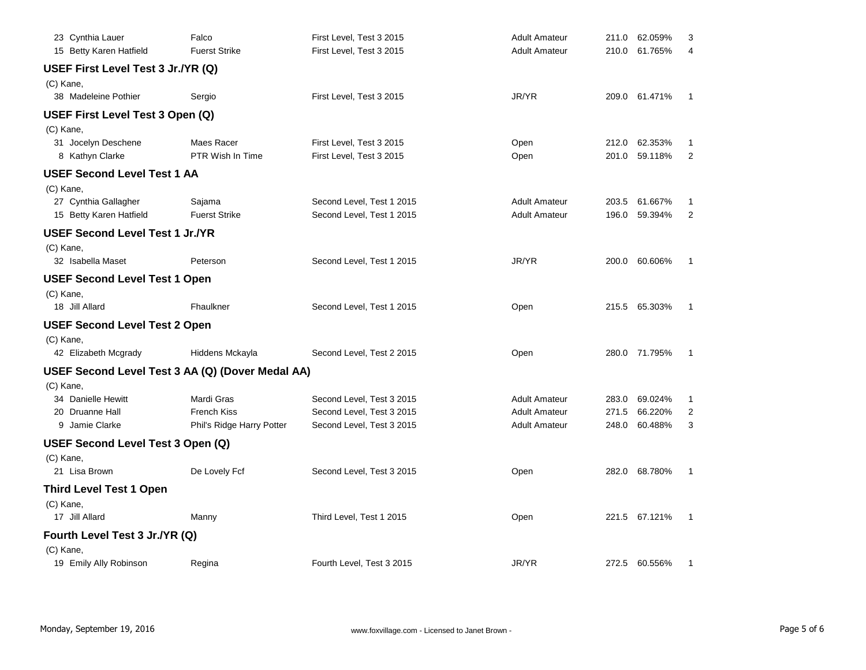| 23 Cynthia Lauer                       | Falco                                            | First Level, Test 3 2015  | <b>Adult Amateur</b> | 211.0 | 62.059%       | 3              |
|----------------------------------------|--------------------------------------------------|---------------------------|----------------------|-------|---------------|----------------|
| 15 Betty Karen Hatfield                | <b>Fuerst Strike</b>                             | First Level, Test 3 2015  | <b>Adult Amateur</b> | 210.0 | 61.765%       | 4              |
| USEF First Level Test 3 Jr./YR (Q)     |                                                  |                           |                      |       |               |                |
| (C) Kane,                              |                                                  |                           |                      |       |               |                |
| 38 Madeleine Pothier                   | Sergio                                           | First Level, Test 3 2015  | JR/YR                |       | 209.0 61.471% | 1              |
| USEF First Level Test 3 Open (Q)       |                                                  |                           |                      |       |               |                |
| (C) Kane,                              |                                                  |                           |                      |       |               |                |
| 31 Jocelyn Deschene                    | Maes Racer                                       | First Level, Test 3 2015  | Open                 | 212.0 | 62.353%       | 1              |
| 8 Kathyn Clarke                        | PTR Wish In Time                                 | First Level, Test 3 2015  | Open                 | 201.0 | 59.118%       | $\overline{2}$ |
| <b>USEF Second Level Test 1 AA</b>     |                                                  |                           |                      |       |               |                |
| (C) Kane,                              |                                                  |                           |                      |       |               |                |
| 27 Cynthia Gallagher                   | Sajama                                           | Second Level, Test 1 2015 | <b>Adult Amateur</b> | 203.5 | 61.667%       | 1              |
| 15 Betty Karen Hatfield                | <b>Fuerst Strike</b>                             | Second Level, Test 1 2015 | <b>Adult Amateur</b> | 196.0 | 59.394%       | $\overline{2}$ |
| <b>USEF Second Level Test 1 Jr./YR</b> |                                                  |                           |                      |       |               |                |
| (C) Kane,                              |                                                  |                           |                      |       |               |                |
| 32 Isabella Maset                      | Peterson                                         | Second Level, Test 1 2015 | JR/YR                |       | 200.0 60.606% | 1              |
| <b>USEF Second Level Test 1 Open</b>   |                                                  |                           |                      |       |               |                |
| (C) Kane,                              |                                                  |                           |                      |       |               |                |
| 18 Jill Allard                         | Fhaulkner                                        | Second Level, Test 1 2015 | Open                 |       | 215.5 65.303% | 1              |
| <b>USEF Second Level Test 2 Open</b>   |                                                  |                           |                      |       |               |                |
| (C) Kane,                              |                                                  |                           |                      |       |               |                |
| 42 Elizabeth Mcgrady                   | Hiddens Mckayla                                  | Second Level, Test 2 2015 | Open                 |       | 280.0 71.795% | -1             |
|                                        | USEF Second Level Test 3 AA (Q) (Dover Medal AA) |                           |                      |       |               |                |
| (C) Kane,                              |                                                  |                           |                      |       |               |                |
| 34 Danielle Hewitt                     | Mardi Gras                                       | Second Level, Test 3 2015 | <b>Adult Amateur</b> | 283.0 | 69.024%       | 1              |
| 20 Druanne Hall                        | <b>French Kiss</b>                               | Second Level, Test 3 2015 | <b>Adult Amateur</b> | 271.5 | 66.220%       | $\overline{2}$ |
| 9 Jamie Clarke                         | Phil's Ridge Harry Potter                        | Second Level, Test 3 2015 | <b>Adult Amateur</b> | 248.0 | 60.488%       | 3              |
| USEF Second Level Test 3 Open (Q)      |                                                  |                           |                      |       |               |                |
| (C) Kane,                              |                                                  |                           |                      |       |               |                |
| 21 Lisa Brown                          | De Lovely Fcf                                    | Second Level, Test 3 2015 | Open                 | 282.0 | 68.780%       | 1              |
| <b>Third Level Test 1 Open</b>         |                                                  |                           |                      |       |               |                |
| (C) Kane,                              |                                                  |                           |                      |       |               |                |
| 17 Jill Allard                         | Manny                                            | Third Level, Test 1 2015  | Open                 |       | 221.5 67.121% | 1              |
| Fourth Level Test 3 Jr./YR (Q)         |                                                  |                           |                      |       |               |                |
| (C) Kane,                              |                                                  |                           |                      |       |               |                |
| 19 Emily Ally Robinson                 | Regina                                           | Fourth Level, Test 3 2015 | JR/YR                |       | 272.5 60.556% | 1              |